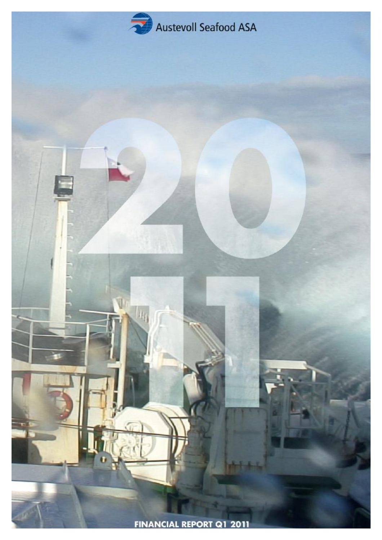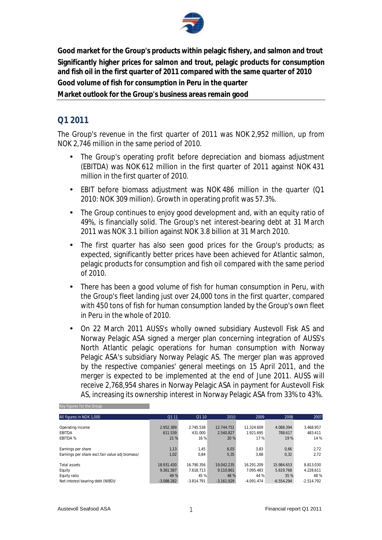

**Good market for the Group's products within pelagic fishery, and salmon and trout Significantly higher prices for salmon and trout, pelagic products for consumption and fish oil in the first quarter of 2011 compared with the same quarter of 2010 Good volume of fish for consumption in Peru in the quarter Market outlook for the Group's business areas remain good** 

### **Q1 2011**

The Group's revenue in the first quarter of 2011 was NOK 2,952 million, up from NOK 2,746 million in the same period of 2010.

- The Group's operating profit before depreciation and biomass adjustment (EBITDA) was NOK 612 million in the first quarter of 2011 against NOK 431 million in the first quarter of 2010.
- EBIT before biomass adjustment was NOK 486 million in the quarter (Q1 2010: NOK 309 million). Growth in operating profit was 57.3%.
- The Group continues to enjoy good development and, with an equity ratio of 49%, is financially solid. The Group's net interest-bearing debt at 31 March 2011 was NOK 3.1 billion against NOK 3.8 billion at 31 March 2010.
- The first quarter has also seen good prices for the Group's products; as expected, significantly better prices have been achieved for Atlantic salmon, pelagic products for consumption and fish oil compared with the same period of 2010.
- There has been a good volume of fish for human consumption in Peru, with the Group's fleet landing just over 24,000 tons in the first quarter, compared with 450 tons of fish for human consumption landed by the Group's own fleet in Peru in the whole of 2010.
- On 22 March 2011 AUSS's wholly owned subsidiary Austevoll Fisk AS and Norway Pelagic ASA signed a merger plan concerning integration of AUSS's North Atlantic pelagic operations for human consumption with Norway Pelagic ASA's subsidiary Norway Pelagic AS. The merger plan was approved by the respective companies' general meetings on 15 April 2011, and the merger is expected to be implemented at the end of June 2011. AUSS will receive 2,768,954 shares in Norway Pelagic ASA in payment for Austevoll Fisk AS, increasing its ownership interest in Norway Pelagic ASA from 33% to 43%.

| All figures in NOK 1,000                        | Q1 11        | Q110         | 2010         | 2009         | 2008         | 2007         |
|-------------------------------------------------|--------------|--------------|--------------|--------------|--------------|--------------|
|                                                 |              |              |              |              |              |              |
| Operating income                                | 2.952.389    | 2.745.538    | 12.744.751   | 11.324.609   | 4.088.394    | 3.468.957    |
| <b>EBITDA</b>                                   | 611.539      | 431.000      | 2.540.827    | 1.921.695    | 788.617      | 483.411      |
| <b>EBITDA%</b>                                  | 21 %         | 16 %         | 20 %         | 17%          | 19 %         | 14 %         |
|                                                 |              |              |              |              |              |              |
| Earnings per share                              | 1,13         | 1,45         | 6,03         | 3,83         | 0,66         | 2,72         |
| Earnings per share excl.fair value adj biomass/ | 1,02         | 0,84         | 5,35         | 3,68         | 0,32         | 2,72         |
|                                                 |              |              |              |              |              |              |
| Total assets                                    | 18.931.430   | 16.790.356   | 19.042.235   | 16.291.209   | 15.984.653   | 8.813.030    |
| Equity                                          | 9.361.587    | 7.618.713    | 9.110.861    | 7.095.483    | 5.619.768    | 4.228.611    |
| Equity ratio                                    | 49 %         | 45 %         | 48 %         | 44 %         | 35 %         | 48%          |
| Net interest bearing debt (NIBD)/               | $-3.088.282$ | $-3.814.791$ | $-3.161.929$ | $-4.091.474$ | $-6.554.294$ | $-2.514.792$ |

#### Key figures for the Group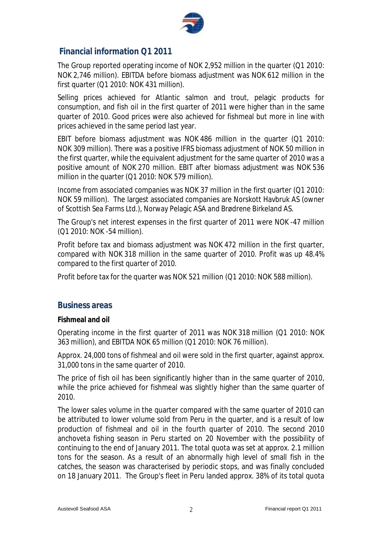

### **Financial information Q1 2011**

The Group reported operating income of NOK 2,952 million in the quarter (Q1 2010: NOK 2,746 million). EBITDA before biomass adjustment was NOK 612 million in the first quarter (Q1 2010: NOK 431 million).

Selling prices achieved for Atlantic salmon and trout, pelagic products for consumption, and fish oil in the first quarter of 2011 were higher than in the same quarter of 2010. Good prices were also achieved for fishmeal but more in line with prices achieved in the same period last year.

EBIT before biomass adjustment was NOK 486 million in the quarter (Q1 2010: NOK 309 million). There was a positive IFRS biomass adjustment of NOK 50 million in the first quarter, while the equivalent adjustment for the same quarter of 2010 was a positive amount of NOK 270 million. EBIT after biomass adjustment was NOK 536 million in the quarter (Q1 2010: NOK 579 million).

Income from associated companies was NOK 37 million in the first quarter (Q1 2010: NOK 59 million). The largest associated companies are Norskott Havbruk AS (owner of Scottish Sea Farms Ltd.), Norway Pelagic ASA and Brødrene Birkeland AS.

The Group's net interest expenses in the first quarter of 2011 were NOK -47 million (Q1 2010: NOK -54 million).

Profit before tax and biomass adjustment was NOK 472 million in the first quarter, compared with NOK 318 million in the same quarter of 2010. Profit was up 48.4% compared to the first quarter of 2010.

Profit before tax for the quarter was NOK 521 million (Q1 2010: NOK 588 million).

#### **Business areas**

#### **Fishmeal and oil**

Operating income in the first quarter of 2011 was NOK 318 million (Q1 2010: NOK 363 million), and EBITDA NOK 65 million (Q1 2010: NOK 76 million).

Approx. 24,000 tons of fishmeal and oil were sold in the first quarter, against approx. 31,000 tons in the same quarter of 2010.

The price of fish oil has been significantly higher than in the same quarter of 2010, while the price achieved for fishmeal was slightly higher than the same quarter of 2010.

The lower sales volume in the quarter compared with the same quarter of 2010 can be attributed to lower volume sold from Peru in the quarter, and is a result of low production of fishmeal and oil in the fourth quarter of 2010. The second 2010 anchoveta fishing season in Peru started on 20 November with the possibility of continuing to the end of January 2011. The total quota was set at approx. 2.1 million tons for the season. As a result of an abnormally high level of small fish in the catches, the season was characterised by periodic stops, and was finally concluded on 18 January 2011. The Group's fleet in Peru landed approx. 38% of its total quota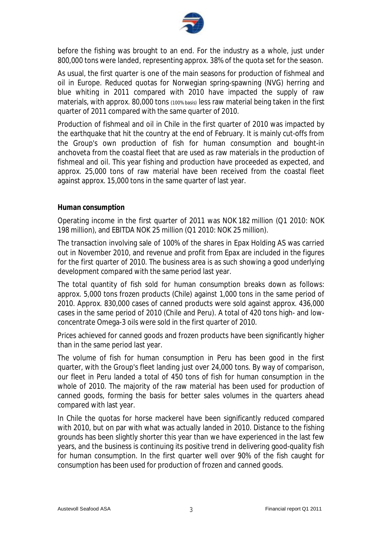

before the fishing was brought to an end. For the industry as a whole, just under 800,000 tons were landed, representing approx. 38% of the quota set for the season.

As usual, the first quarter is one of the main seasons for production of fishmeal and oil in Europe. Reduced quotas for Norwegian spring-spawning (NVG) herring and blue whiting in 2011 compared with 2010 have impacted the supply of raw materials, with approx. 80,000 tons (100% basis) less raw material being taken in the first quarter of 2011 compared with the same quarter of 2010.

Production of fishmeal and oil in Chile in the first quarter of 2010 was impacted by the earthquake that hit the country at the end of February. It is mainly cut-offs from the Group's own production of fish for human consumption and bought-in anchoveta from the coastal fleet that are used as raw materials in the production of fishmeal and oil. This year fishing and production have proceeded as expected, and approx. 25,000 tons of raw material have been received from the coastal fleet against approx. 15,000 tons in the same quarter of last year.

#### **Human consumption**

Operating income in the first quarter of 2011 was NOK 182 million (Q1 2010: NOK 198 million), and EBITDA NOK 25 million (Q1 2010: NOK 25 million).

The transaction involving sale of 100% of the shares in Epax Holding AS was carried out in November 2010, and revenue and profit from Epax are included in the figures for the first quarter of 2010. The business area is as such showing a good underlying development compared with the same period last year.

The total quantity of fish sold for human consumption breaks down as follows: approx. 5,000 tons frozen products (Chile) against 1,000 tons in the same period of 2010. Approx. 830,000 cases of canned products were sold against approx. 436,000 cases in the same period of 2010 (Chile and Peru). A total of 420 tons high- and lowconcentrate Omega-3 oils were sold in the first quarter of 2010.

Prices achieved for canned goods and frozen products have been significantly higher than in the same period last year.

The volume of fish for human consumption in Peru has been good in the first quarter, with the Group's fleet landing just over 24,000 tons. By way of comparison, our fleet in Peru landed a total of 450 tons of fish for human consumption in the whole of 2010. The majority of the raw material has been used for production of canned goods, forming the basis for better sales volumes in the quarters ahead compared with last year.

In Chile the quotas for horse mackerel have been significantly reduced compared with 2010, but on par with what was actually landed in 2010. Distance to the fishing grounds has been slightly shorter this year than we have experienced in the last few years, and the business is continuing its positive trend in delivering good-quality fish for human consumption. In the first quarter well over 90% of the fish caught for consumption has been used for production of frozen and canned goods.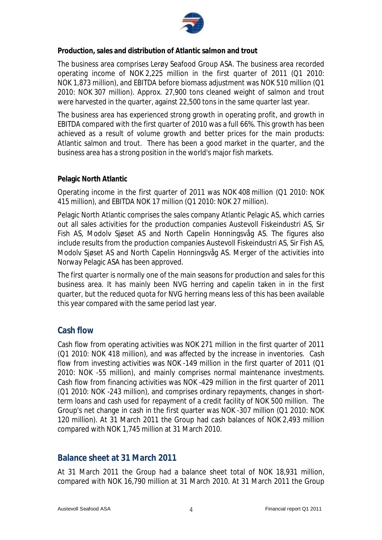

**Production, sales and distribution of Atlantic salmon and trout** 

The business area comprises Lerøy Seafood Group ASA. The business area recorded operating income of NOK 2,225 million in the first quarter of 2011 (Q1 2010: NOK 1,873 million), and EBITDA before biomass adjustment was NOK 510 million (Q1 2010: NOK 307 million). Approx. 27,900 tons cleaned weight of salmon and trout were harvested in the quarter, against 22,500 tons in the same quarter last year.

The business area has experienced strong growth in operating profit, and growth in EBITDA compared with the first quarter of 2010 was a full 66%. This growth has been achieved as a result of volume growth and better prices for the main products: Atlantic salmon and trout. There has been a good market in the quarter, and the business area has a strong position in the world's major fish markets.

#### **Pelagic North Atlantic**

Operating income in the first quarter of 2011 was NOK 408 million (Q1 2010: NOK 415 million), and EBITDA NOK 17 million (Q1 2010: NOK 27 million).

Pelagic North Atlantic comprises the sales company Atlantic Pelagic AS, which carries out all sales activities for the production companies Austevoll Fiskeindustri AS, Sir Fish AS, Modolv Sjøset AS and North Capelin Honningsvåg AS. The figures also include results from the production companies Austevoll Fiskeindustri AS, Sir Fish AS, Modolv Sjøset AS and North Capelin Honningsvåg AS. Merger of the activities into Norway Pelagic ASA has been approved.

The first quarter is normally one of the main seasons for production and sales for this business area. It has mainly been NVG herring and capelin taken in in the first quarter, but the reduced quota for NVG herring means less of this has been available this year compared with the same period last year.

### **Cash flow**

Cash flow from operating activities was NOK 271 million in the first quarter of 2011 (Q1 2010: NOK 418 million), and was affected by the increase in inventories. Cash flow from investing activities was NOK -149 million in the first quarter of 2011 (Q1 2010: NOK -55 million), and mainly comprises normal maintenance investments. Cash flow from financing activities was NOK -429 million in the first quarter of 2011 (Q1 2010: NOK -243 million), and comprises ordinary repayments, changes in shortterm loans and cash used for repayment of a credit facility of NOK 500 million. The Group's net change in cash in the first quarter was NOK -307 million (Q1 2010: NOK 120 million). At 31 March 2011 the Group had cash balances of NOK 2,493 million compared with NOK 1,745 million at 31 March 2010.

### **Balance sheet at 31 March 2011**

At 31 March 2011 the Group had a balance sheet total of NOK 18,931 million, compared with NOK 16,790 million at 31 March 2010. At 31 March 2011 the Group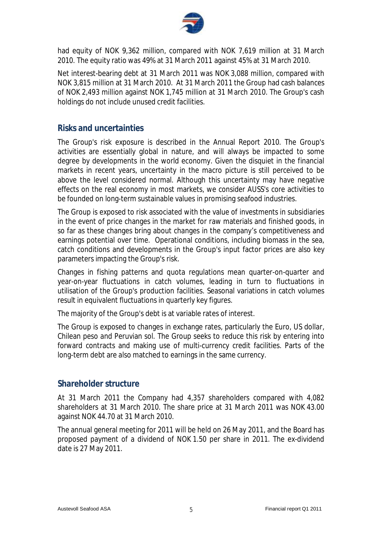

had equity of NOK 9,362 million, compared with NOK 7,619 million at 31 March 2010. The equity ratio was 49% at 31 March 2011 against 45% at 31 March 2010.

Net interest-bearing debt at 31 March 2011 was NOK 3,088 million, compared with NOK 3,815 million at 31 March 2010. At 31 March 2011 the Group had cash balances of NOK 2,493 million against NOK 1,745 million at 31 March 2010. The Group's cash holdings do not include unused credit facilities.

### **Risks and uncertainties**

The Group's risk exposure is described in the Annual Report 2010. The Group's activities are essentially global in nature, and will always be impacted to some degree by developments in the world economy. Given the disquiet in the financial markets in recent years, uncertainty in the macro picture is still perceived to be above the level considered normal. Although this uncertainty may have negative effects on the real economy in most markets, we consider AUSS's core activities to be founded on long-term sustainable values in promising seafood industries.

The Group is exposed to risk associated with the value of investments in subsidiaries in the event of price changes in the market for raw materials and finished goods, in so far as these changes bring about changes in the company's competitiveness and earnings potential over time. Operational conditions, including biomass in the sea, catch conditions and developments in the Group's input factor prices are also key parameters impacting the Group's risk.

Changes in fishing patterns and quota regulations mean quarter-on-quarter and year-on-year fluctuations in catch volumes, leading in turn to fluctuations in utilisation of the Group's production facilities. Seasonal variations in catch volumes result in equivalent fluctuations in quarterly key figures.

The majority of the Group's debt is at variable rates of interest.

The Group is exposed to changes in exchange rates, particularly the Euro, US dollar, Chilean peso and Peruvian sol. The Group seeks to reduce this risk by entering into forward contracts and making use of multi-currency credit facilities. Parts of the long-term debt are also matched to earnings in the same currency.

### **Shareholder structure**

At 31 March 2011 the Company had 4,357 shareholders compared with 4,082 shareholders at 31 March 2010. The share price at 31 March 2011 was NOK 43.00 against NOK 44.70 at 31 March 2010.

The annual general meeting for 2011 will be held on 26 May 2011, and the Board has proposed payment of a dividend of NOK 1.50 per share in 2011. The ex-dividend date is 27 May 2011.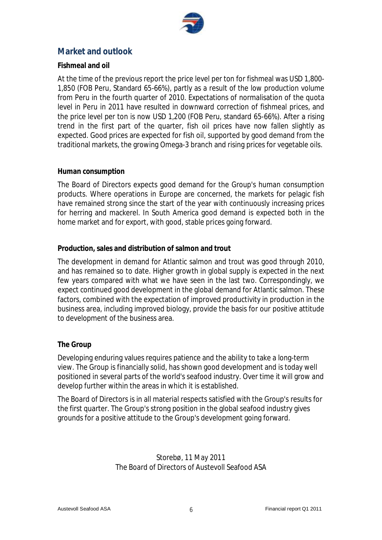

## **Market and outlook**

#### **Fishmeal and oil**

At the time of the previous report the price level per ton for fishmeal was USD 1,800- 1,850 (FOB Peru, Standard 65-66%), partly as a result of the low production volume from Peru in the fourth quarter of 2010. Expectations of normalisation of the quota level in Peru in 2011 have resulted in downward correction of fishmeal prices, and the price level per ton is now USD 1,200 (FOB Peru, standard 65-66%). After a rising trend in the first part of the quarter, fish oil prices have now fallen slightly as expected. Good prices are expected for fish oil, supported by good demand from the traditional markets, the growing Omega-3 branch and rising prices for vegetable oils.

#### **Human consumption**

The Board of Directors expects good demand for the Group's human consumption products. Where operations in Europe are concerned, the markets for pelagic fish have remained strong since the start of the year with continuously increasing prices for herring and mackerel. In South America good demand is expected both in the home market and for export, with good, stable prices going forward.

#### **Production, sales and distribution of salmon and trout**

The development in demand for Atlantic salmon and trout was good through 2010, and has remained so to date. Higher growth in global supply is expected in the next few years compared with what we have seen in the last two. Correspondingly, we expect continued good development in the global demand for Atlantic salmon. These factors, combined with the expectation of improved productivity in production in the business area, including improved biology, provide the basis for our positive attitude to development of the business area.

#### **The Group**

Developing enduring values requires patience and the ability to take a long-term view. The Group is financially solid, has shown good development and is today well positioned in several parts of the world's seafood industry. Over time it will grow and develop further within the areas in which it is established.

The Board of Directors is in all material respects satisfied with the Group's results for the first quarter. The Group's strong position in the global seafood industry gives grounds for a positive attitude to the Group's development going forward.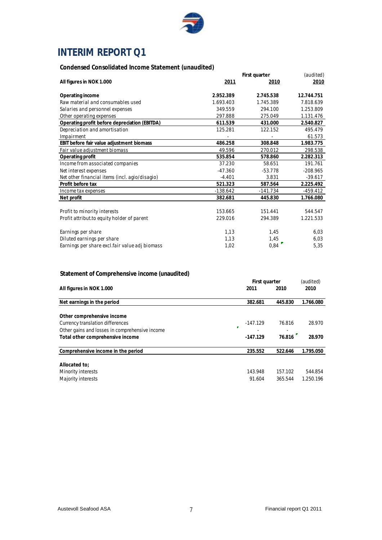

# **INTERIM REPORT Q1**

#### **Condensed Consolidated Income Statement (unaudited)**

|                                                | First quarter | (audited)  |            |
|------------------------------------------------|---------------|------------|------------|
| All figures in NOK 1.000                       | 2011          | 2010       | 2010       |
| Operating income                               | 2.952.389     | 2.745.538  | 12.744.751 |
| Raw material and consumables used              | 1.693.403     | 1.745.389  | 7.818.639  |
| Salaries and personnel expenses                | 349.559       | 294.100    | 1.253.809  |
| Other operating expenses                       | 297.888       | 275.049    | 1.131.476  |
| Operating profit before depreciation (EBITDA)  | 611.539       | 431.000    | 2.540.827  |
| Depreciation and amortisation                  | 125.281       | 122.152    | 495.479    |
| Impairment                                     |               |            | 61.573     |
| EBIT before fair value adjustment biomass      | 486.258       | 308.848    | 1.983.775  |
| Fair value adjustment biomass                  | 49.596        | 270.012    | 298.538    |
| Operating profit                               | 535.854       | 578.860    | 2.282.313  |
| Income from associated companies               | 37.230        | 58.651     | 191.761    |
| Net interest expenses                          | $-47.360$     | $-53.778$  | $-208.965$ |
| Net other financial items (incl. agio/disagio) | $-4.401$      | 3.831      | $-39.617$  |
| Profit before tax                              | 521.323       | 587.564    | 2.225.492  |
| Income tax expenses                            | $-138.642$    | $-141.734$ | -459.412   |
| Net profit                                     | 382.681       | 445.830    | 1.766.080  |
| Profit to minority interests                   | 153.665       | 151.441    | 544.547    |
| Profit attribut to equity holder of parent     | 229.016       | 294.389    | 1.221.533  |
| Earnings per share                             | 1,13          | 1,45       | 6,03       |
| Diluted earnings per share                     | 1,13          | 1,45       | 6,03       |
| Earnings per share excl.fair value adj biomass | 1,02          | 0,84       | 5,35       |

#### **Statement of Comprehensive income (unaudited)**

|                                                |   | First quarter |         | (audited) |
|------------------------------------------------|---|---------------|---------|-----------|
| All figures in NOK 1.000                       |   | 2011          | 2010    | 2010      |
| Net earnings in the period                     |   | 382.681       | 445.830 | 1.766.080 |
|                                                |   |               |         |           |
| Other comprehensive income                     |   |               |         |           |
| Currency translation differences               |   | $-147.129$    | 76.816  | 28.970    |
| Other gains and losses in comprehensive income | × |               |         |           |
| Total other comprehensive income               |   | $-147.129$    | 76.816  | 28.970    |
|                                                |   |               |         |           |
| Comprehensive income in the period             |   | 235.552       | 522.646 | 1.795.050 |
|                                                |   |               |         |           |
| Allocated to:                                  |   |               |         |           |
| Minority interests                             |   | 143.948       | 157.102 | 544.854   |
| Majority interests                             |   | 91.604        | 365.544 | 1.250.196 |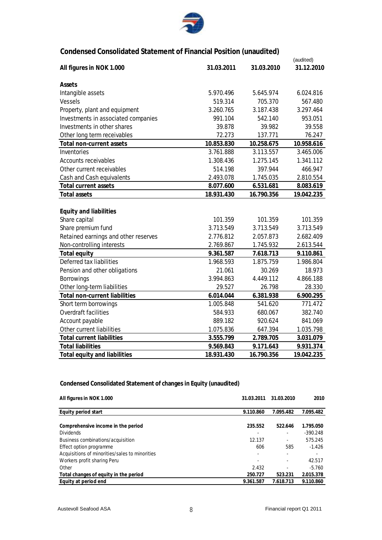

### **Condensed Consolidated Statement of Financial Position (unaudited)**

|                                      |            |            | (audited)  |
|--------------------------------------|------------|------------|------------|
| All figures in NOK 1.000             | 31.03.2011 | 31.03.2010 | 31.12.2010 |
| Assets                               |            |            |            |
| Intangible assets                    | 5.970.496  | 5.645.974  | 6.024.816  |
| <b>Vessels</b>                       | 519.314    | 705.370    | 567.480    |
| Property, plant and equipment        | 3.260.765  | 3.187.438  | 3.297.464  |
| Investments in associated companies  | 991.104    | 542.140    | 953.051    |
| Investments in other shares          | 39.878     | 39.982     | 39.558     |
| Other long term receivables          | 72.273     | 137.771    | 76.247     |
| Total non-current assets             | 10.853.830 | 10.258.675 | 10.958.616 |
| Inventories                          | 3.761.888  | 3.113.557  | 3.465.006  |
| <b>Accounts receivables</b>          | 1.308.436  | 1.275.145  | 1.341.112  |
| Other current receivables            | 514.198    | 397.944    | 466.947    |
| Cash and Cash equivalents            | 2.493.078  | 1.745.035  | 2.810.554  |
| <b>Total current assets</b>          | 8.077.600  | 6.531.681  | 8.083.619  |
| <b>Total assets</b>                  | 18.931.430 | 16.790.356 | 19.042.235 |
|                                      |            |            |            |
| <b>Equity and liabilities</b>        |            |            |            |
| Share capital                        | 101.359    | 101.359    | 101.359    |
| Share premium fund                   | 3.713.549  | 3.713.549  | 3.713.549  |
| Retained earnings and other reserves | 2.776.812  | 2.057.873  | 2.682.409  |
| Non-controlling interests            | 2.769.867  | 1.745.932  | 2.613.544  |
| <b>Total equity</b>                  | 9.361.587  | 7.618.713  | 9.110.861  |
| Deferred tax liabilities             | 1.968.593  | 1.875.759  | 1.986.804  |
| Pension and other obligations        | 21.061     | 30.269     | 18.973     |
| <b>Borrowings</b>                    | 3.994.863  | 4.449.112  | 4.866.188  |
| Other long-term liabilities          | 29.527     | 26.798     | 28.330     |
| <b>Total non-current liabilities</b> | 6.014.044  | 6.381.938  | 6.900.295  |
| Short term borrowings                | 1.005.848  | 541.620    | 771.472    |
| <b>Overdraft facilities</b>          | 584.933    | 680.067    | 382.740    |
| Account payable                      | 889.182    | 920.624    | 841.069    |
| Other current liabilities            | 1.075.836  | 647.394    | 1.035.798  |
| <b>Total current liabilities</b>     | 3.555.799  | 2.789.705  | 3.031.079  |
| <b>Total liabilities</b>             | 9.569.843  | 9.171.643  | 9.931.374  |
| <b>Total equity and liabilities</b>  | 18.931.430 | 16.790.356 | 19.042.235 |

#### **Condensed Consolidated Statement of changes in Equity (unaudited)**

| All figures in NOK 1.000                       | 31.03.2011 | 31.03.2010 | 2010       |
|------------------------------------------------|------------|------------|------------|
|                                                |            |            |            |
| Equity period start                            | 9.110.860  | 7.095.482  | 7.095.482  |
| Comprehensive income in the period             | 235.552    | 522.646    | 1.795.050  |
| <b>Dividends</b>                               |            | -          | $-390.248$ |
| Business combinations/acquisition              | 12.137     | -          | 575.245    |
| Effect option programme                        | 606        | 585        | $-1.426$   |
| Acquisitions of minorities/sales to minorities |            |            |            |
| Workers profit sharing Peru                    |            |            | 42.517     |
| Other                                          | 2.432      |            | $-5.760$   |
| Total changes of equity in the period          | 250.727    | 523.231    | 2.015.378  |
| Equity at period end                           | 9.361.587  | 7.618.713  | 9.110.860  |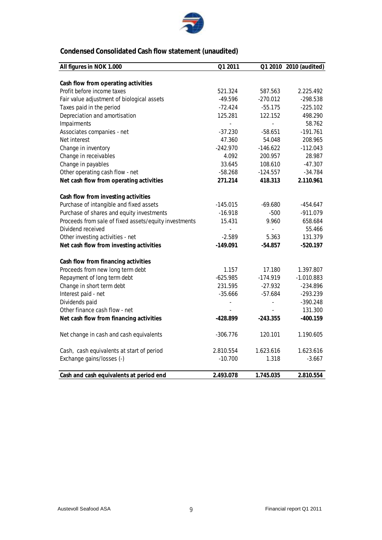

## **Condensed Consolidated Cash flow statement (unaudited)**

| All figures in NOK 1.000                              | Q1 2011                  |                          | Q1 2010 2010 (audited) |
|-------------------------------------------------------|--------------------------|--------------------------|------------------------|
|                                                       |                          |                          |                        |
| Cash flow from operating activities                   |                          |                          |                        |
| Profit before income taxes                            | 521.324                  | 587.563                  | 2.225.492              |
| Fair value adjustment of biological assets            | $-49.596$                | $-270.012$               | $-298.538$             |
| Taxes paid in the period                              | $-72.424$                | $-55.175$                | $-225.102$             |
| Depreciation and amortisation                         | 125.281                  | 122.152                  | 498.290                |
| Impairments                                           | $\overline{\phantom{0}}$ | $\blacksquare$           | 58.762                 |
| Associates companies - net                            | $-37.230$                | $-58.651$                | $-191.761$             |
| Net interest                                          | 47.360                   | 54.048                   | 208.965                |
| Change in inventory                                   | $-242.970$               | $-146.622$               | $-112.043$             |
| Change in receivables                                 | 4.092                    | 200.957                  | 28.987                 |
| Change in payables                                    | 33.645                   | 108.610                  | $-47.307$              |
| Other operating cash flow - net                       | $-58.268$                | $-124.557$               | $-34.784$              |
| Net cash flow from operating activities               | 271.214                  | 418.313                  | 2.110.961              |
| Cash flow from investing activities                   |                          |                          |                        |
| Purchase of intangible and fixed assets               | $-145.015$               | $-69.680$                | $-454.647$             |
| Purchase of shares and equity investments             | $-16.918$                | -500                     | $-911.079$             |
| Proceeds from sale of fixed assets/equity investments | 15.431                   | 9.960                    | 658.684                |
| Dividend received                                     |                          | $\blacksquare$           | 55.466                 |
| Other investing activities - net                      | $-2.589$                 | 5.363                    | 131.379                |
| Net cash flow from investing activities               | $-149.091$               | $-54.857$                | -520.197               |
| Cash flow from financing activities                   |                          |                          |                        |
| Proceeds from new long term debt                      | 1.157                    | 17.180                   | 1.397.807              |
| Repayment of long term debt                           | $-625.985$               | $-174.919$               | $-1.010.883$           |
| Change in short term debt                             | 231.595                  | $-27.932$                | $-234.896$             |
| Interest paid - net                                   | $-35.666$                | $-57.684$                | $-293.239$             |
| Dividends paid                                        |                          | $\overline{\phantom{a}}$ | $-390.248$             |
| Other finance cash flow - net                         |                          |                          | 131.300                |
| Net cash flow from financing activities               | -428.899                 | $-243.355$               | $-400.159$             |
| Net change in cash and cash equivalents               | $-306.776$               | 120.101                  | 1.190.605              |
| Cash, cash equivalents at start of period             | 2.810.554                | 1.623.616                | 1.623.616              |
| Exchange gains/losses (-)                             | $-10.700$                | 1.318                    | $-3.667$               |
| Cash and cash equivalents at period end               | 2.493.078                | 1.745.035                | 2.810.554              |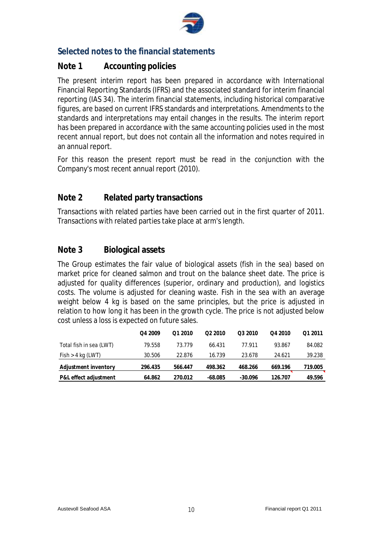

### **Selected notes to the financial statements**

### **Note 1 Accounting policies**

The present interim report has been prepared in accordance with International Financial Reporting Standards (IFRS) and the associated standard for interim financial reporting (IAS 34). The interim financial statements, including historical comparative figures, are based on current IFRS standards and interpretations. Amendments to the standards and interpretations may entail changes in the results. The interim report has been prepared in accordance with the same accounting policies used in the most recent annual report, but does not contain all the information and notes required in an annual report.

For this reason the present report must be read in the conjunction with the Company's most recent annual report (2010).

### **Note 2 Related party transactions**

Transactions with related parties have been carried out in the first quarter of 2011. Transactions with related parties take place at arm's length.

### **Note 3 Biological assets**

The Group estimates the fair value of biological assets (fish in the sea) based on market price for cleaned salmon and trout on the balance sheet date. The price is adjusted for quality differences (superior, ordinary and production), and logistics costs. The volume is adjusted for cleaning waste. Fish in the sea with an average weight below 4 kg is based on the same principles, but the price is adjusted in relation to how long it has been in the growth cycle. The price is not adjusted below cost unless a loss is expected on future sales.

|                         | Q4 2009 | 01 2010 | 022010    | O <sub>3</sub> 2010 | Q4 2010 | Q1 2011 |
|-------------------------|---------|---------|-----------|---------------------|---------|---------|
| Total fish in sea (LWT) | 79.558  | 73.779  | 66.431    | 77.911              | 93.867  | 84.082  |
| $Fish > 4$ kg (LWT)     | 30.506  | 22.876  | 16.739    | 23.678              | 24.621  | 39.238  |
| Adjustment inventory    | 296.435 | 566.447 | 498.362   | 468.266             | 669.196 | 719.005 |
| P&L effect adjustment   | 64.862  | 270.012 | $-68.085$ | $-30.096$           | 126.707 | 49.596  |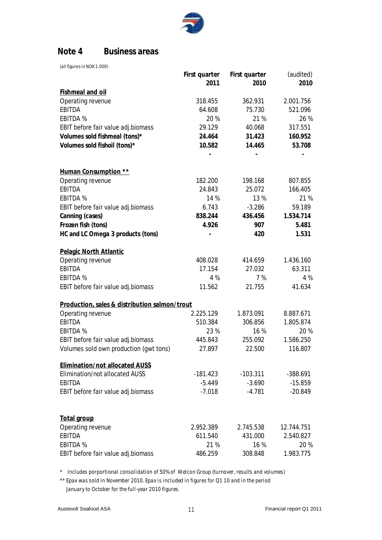

### **Note 4 Business areas**

(all figures in NOK 1.000)

| 2010<br>2011<br>2010<br><b>Fishmeal and oil</b><br>Operating revenue<br>2.001.756<br>318.455<br>362.931<br>75.730<br><b>EBITDA</b><br>64.608<br>521.096<br><b>EBITDA%</b><br>20%<br>21 %<br>26 %<br>317.551<br>EBIT before fair value adj.biomass<br>29.129<br>40.068<br>Volumes sold fishmeal (tons)*<br>24.464<br>31.423<br>160.952<br>Volumes sold fishoil (tons)*<br>10.582<br>53.708<br>14.465<br>Human Consumption **<br>Operating revenue<br>182.200<br>198.168<br>807.855<br><b>EBITDA</b><br>24.843<br>25.072<br>166.405<br>14 %<br>21 %<br><b>EBITDA%</b><br>13 %<br>59.189<br>EBIT before fair value adj.biomass<br>6.743<br>$-3.286$<br>Canning (cases)<br>838.244<br>436.456<br>1.534.714<br>Frozen fish (tons)<br>4.926<br>907<br>5.481<br>HC and LC Omega 3 products (tons)<br>420<br>1.531<br>Pelagic North Atlantic<br>Operating revenue<br>408.028<br>1.436.160<br>414.659<br><b>EBITDA</b><br>17.154<br>27.032<br>63.311<br><b>EBITDA%</b><br>4 %<br>7 %<br>4 %<br>EBIT before fair value adj.biomass<br>11.562<br>21.755<br>41.634<br>Production, sales & distribution salmon/trout<br>Operating revenue<br>2.225.129<br>1.873.091<br>8.887.671<br><b>EBITDA</b><br>510.384<br>306.856<br>1.805.874<br><b>EBITDA%</b><br>23 %<br>16 %<br>20 %<br>EBIT before fair value adj.biomass<br>445.843<br>255.092<br>1.586.250<br>Volumes sold own production (gwt tons)<br>27.897<br>22.500<br>116.807<br><b>Elimination/not allocated AUSS</b><br><b>Elimination/not allocated AUSS</b><br>$-181.423$<br>$-103.311$<br>-388.691<br><b>EBITDA</b><br>$-5.449$<br>$-3.690$<br>$-15.859$<br>EBIT before fair value adj.biomass<br>$-7.018$<br>$-4.781$<br>$-20.849$<br><b>Total group</b><br>Operating revenue<br>2.952.389<br>2.745.538<br>12.744.751<br><b>EBITDA</b><br>611.540<br>431.000<br>2.540.827<br><b>EBITDA%</b><br>21 %<br>16 %<br>20 %<br>EBIT before fair value adj.biomass<br>486.259<br>1.983.775<br>308.848 | First quarter | First quarter | (audited) |
|------------------------------------------------------------------------------------------------------------------------------------------------------------------------------------------------------------------------------------------------------------------------------------------------------------------------------------------------------------------------------------------------------------------------------------------------------------------------------------------------------------------------------------------------------------------------------------------------------------------------------------------------------------------------------------------------------------------------------------------------------------------------------------------------------------------------------------------------------------------------------------------------------------------------------------------------------------------------------------------------------------------------------------------------------------------------------------------------------------------------------------------------------------------------------------------------------------------------------------------------------------------------------------------------------------------------------------------------------------------------------------------------------------------------------------------------------------------------------------------------------------------------------------------------------------------------------------------------------------------------------------------------------------------------------------------------------------------------------------------------------------------------------------------------------------------------------------------------------------------------------------------------------------------------------------------|---------------|---------------|-----------|
|                                                                                                                                                                                                                                                                                                                                                                                                                                                                                                                                                                                                                                                                                                                                                                                                                                                                                                                                                                                                                                                                                                                                                                                                                                                                                                                                                                                                                                                                                                                                                                                                                                                                                                                                                                                                                                                                                                                                          |               |               |           |
|                                                                                                                                                                                                                                                                                                                                                                                                                                                                                                                                                                                                                                                                                                                                                                                                                                                                                                                                                                                                                                                                                                                                                                                                                                                                                                                                                                                                                                                                                                                                                                                                                                                                                                                                                                                                                                                                                                                                          |               |               |           |
|                                                                                                                                                                                                                                                                                                                                                                                                                                                                                                                                                                                                                                                                                                                                                                                                                                                                                                                                                                                                                                                                                                                                                                                                                                                                                                                                                                                                                                                                                                                                                                                                                                                                                                                                                                                                                                                                                                                                          |               |               |           |
|                                                                                                                                                                                                                                                                                                                                                                                                                                                                                                                                                                                                                                                                                                                                                                                                                                                                                                                                                                                                                                                                                                                                                                                                                                                                                                                                                                                                                                                                                                                                                                                                                                                                                                                                                                                                                                                                                                                                          |               |               |           |
|                                                                                                                                                                                                                                                                                                                                                                                                                                                                                                                                                                                                                                                                                                                                                                                                                                                                                                                                                                                                                                                                                                                                                                                                                                                                                                                                                                                                                                                                                                                                                                                                                                                                                                                                                                                                                                                                                                                                          |               |               |           |
|                                                                                                                                                                                                                                                                                                                                                                                                                                                                                                                                                                                                                                                                                                                                                                                                                                                                                                                                                                                                                                                                                                                                                                                                                                                                                                                                                                                                                                                                                                                                                                                                                                                                                                                                                                                                                                                                                                                                          |               |               |           |
|                                                                                                                                                                                                                                                                                                                                                                                                                                                                                                                                                                                                                                                                                                                                                                                                                                                                                                                                                                                                                                                                                                                                                                                                                                                                                                                                                                                                                                                                                                                                                                                                                                                                                                                                                                                                                                                                                                                                          |               |               |           |
|                                                                                                                                                                                                                                                                                                                                                                                                                                                                                                                                                                                                                                                                                                                                                                                                                                                                                                                                                                                                                                                                                                                                                                                                                                                                                                                                                                                                                                                                                                                                                                                                                                                                                                                                                                                                                                                                                                                                          |               |               |           |
|                                                                                                                                                                                                                                                                                                                                                                                                                                                                                                                                                                                                                                                                                                                                                                                                                                                                                                                                                                                                                                                                                                                                                                                                                                                                                                                                                                                                                                                                                                                                                                                                                                                                                                                                                                                                                                                                                                                                          |               |               |           |
|                                                                                                                                                                                                                                                                                                                                                                                                                                                                                                                                                                                                                                                                                                                                                                                                                                                                                                                                                                                                                                                                                                                                                                                                                                                                                                                                                                                                                                                                                                                                                                                                                                                                                                                                                                                                                                                                                                                                          |               |               |           |
|                                                                                                                                                                                                                                                                                                                                                                                                                                                                                                                                                                                                                                                                                                                                                                                                                                                                                                                                                                                                                                                                                                                                                                                                                                                                                                                                                                                                                                                                                                                                                                                                                                                                                                                                                                                                                                                                                                                                          |               |               |           |
|                                                                                                                                                                                                                                                                                                                                                                                                                                                                                                                                                                                                                                                                                                                                                                                                                                                                                                                                                                                                                                                                                                                                                                                                                                                                                                                                                                                                                                                                                                                                                                                                                                                                                                                                                                                                                                                                                                                                          |               |               |           |
|                                                                                                                                                                                                                                                                                                                                                                                                                                                                                                                                                                                                                                                                                                                                                                                                                                                                                                                                                                                                                                                                                                                                                                                                                                                                                                                                                                                                                                                                                                                                                                                                                                                                                                                                                                                                                                                                                                                                          |               |               |           |
|                                                                                                                                                                                                                                                                                                                                                                                                                                                                                                                                                                                                                                                                                                                                                                                                                                                                                                                                                                                                                                                                                                                                                                                                                                                                                                                                                                                                                                                                                                                                                                                                                                                                                                                                                                                                                                                                                                                                          |               |               |           |
|                                                                                                                                                                                                                                                                                                                                                                                                                                                                                                                                                                                                                                                                                                                                                                                                                                                                                                                                                                                                                                                                                                                                                                                                                                                                                                                                                                                                                                                                                                                                                                                                                                                                                                                                                                                                                                                                                                                                          |               |               |           |
|                                                                                                                                                                                                                                                                                                                                                                                                                                                                                                                                                                                                                                                                                                                                                                                                                                                                                                                                                                                                                                                                                                                                                                                                                                                                                                                                                                                                                                                                                                                                                                                                                                                                                                                                                                                                                                                                                                                                          |               |               |           |
|                                                                                                                                                                                                                                                                                                                                                                                                                                                                                                                                                                                                                                                                                                                                                                                                                                                                                                                                                                                                                                                                                                                                                                                                                                                                                                                                                                                                                                                                                                                                                                                                                                                                                                                                                                                                                                                                                                                                          |               |               |           |
|                                                                                                                                                                                                                                                                                                                                                                                                                                                                                                                                                                                                                                                                                                                                                                                                                                                                                                                                                                                                                                                                                                                                                                                                                                                                                                                                                                                                                                                                                                                                                                                                                                                                                                                                                                                                                                                                                                                                          |               |               |           |
|                                                                                                                                                                                                                                                                                                                                                                                                                                                                                                                                                                                                                                                                                                                                                                                                                                                                                                                                                                                                                                                                                                                                                                                                                                                                                                                                                                                                                                                                                                                                                                                                                                                                                                                                                                                                                                                                                                                                          |               |               |           |
|                                                                                                                                                                                                                                                                                                                                                                                                                                                                                                                                                                                                                                                                                                                                                                                                                                                                                                                                                                                                                                                                                                                                                                                                                                                                                                                                                                                                                                                                                                                                                                                                                                                                                                                                                                                                                                                                                                                                          |               |               |           |
|                                                                                                                                                                                                                                                                                                                                                                                                                                                                                                                                                                                                                                                                                                                                                                                                                                                                                                                                                                                                                                                                                                                                                                                                                                                                                                                                                                                                                                                                                                                                                                                                                                                                                                                                                                                                                                                                                                                                          |               |               |           |
|                                                                                                                                                                                                                                                                                                                                                                                                                                                                                                                                                                                                                                                                                                                                                                                                                                                                                                                                                                                                                                                                                                                                                                                                                                                                                                                                                                                                                                                                                                                                                                                                                                                                                                                                                                                                                                                                                                                                          |               |               |           |
|                                                                                                                                                                                                                                                                                                                                                                                                                                                                                                                                                                                                                                                                                                                                                                                                                                                                                                                                                                                                                                                                                                                                                                                                                                                                                                                                                                                                                                                                                                                                                                                                                                                                                                                                                                                                                                                                                                                                          |               |               |           |
|                                                                                                                                                                                                                                                                                                                                                                                                                                                                                                                                                                                                                                                                                                                                                                                                                                                                                                                                                                                                                                                                                                                                                                                                                                                                                                                                                                                                                                                                                                                                                                                                                                                                                                                                                                                                                                                                                                                                          |               |               |           |
|                                                                                                                                                                                                                                                                                                                                                                                                                                                                                                                                                                                                                                                                                                                                                                                                                                                                                                                                                                                                                                                                                                                                                                                                                                                                                                                                                                                                                                                                                                                                                                                                                                                                                                                                                                                                                                                                                                                                          |               |               |           |
|                                                                                                                                                                                                                                                                                                                                                                                                                                                                                                                                                                                                                                                                                                                                                                                                                                                                                                                                                                                                                                                                                                                                                                                                                                                                                                                                                                                                                                                                                                                                                                                                                                                                                                                                                                                                                                                                                                                                          |               |               |           |
|                                                                                                                                                                                                                                                                                                                                                                                                                                                                                                                                                                                                                                                                                                                                                                                                                                                                                                                                                                                                                                                                                                                                                                                                                                                                                                                                                                                                                                                                                                                                                                                                                                                                                                                                                                                                                                                                                                                                          |               |               |           |
|                                                                                                                                                                                                                                                                                                                                                                                                                                                                                                                                                                                                                                                                                                                                                                                                                                                                                                                                                                                                                                                                                                                                                                                                                                                                                                                                                                                                                                                                                                                                                                                                                                                                                                                                                                                                                                                                                                                                          |               |               |           |
|                                                                                                                                                                                                                                                                                                                                                                                                                                                                                                                                                                                                                                                                                                                                                                                                                                                                                                                                                                                                                                                                                                                                                                                                                                                                                                                                                                                                                                                                                                                                                                                                                                                                                                                                                                                                                                                                                                                                          |               |               |           |
|                                                                                                                                                                                                                                                                                                                                                                                                                                                                                                                                                                                                                                                                                                                                                                                                                                                                                                                                                                                                                                                                                                                                                                                                                                                                                                                                                                                                                                                                                                                                                                                                                                                                                                                                                                                                                                                                                                                                          |               |               |           |
|                                                                                                                                                                                                                                                                                                                                                                                                                                                                                                                                                                                                                                                                                                                                                                                                                                                                                                                                                                                                                                                                                                                                                                                                                                                                                                                                                                                                                                                                                                                                                                                                                                                                                                                                                                                                                                                                                                                                          |               |               |           |
|                                                                                                                                                                                                                                                                                                                                                                                                                                                                                                                                                                                                                                                                                                                                                                                                                                                                                                                                                                                                                                                                                                                                                                                                                                                                                                                                                                                                                                                                                                                                                                                                                                                                                                                                                                                                                                                                                                                                          |               |               |           |
|                                                                                                                                                                                                                                                                                                                                                                                                                                                                                                                                                                                                                                                                                                                                                                                                                                                                                                                                                                                                                                                                                                                                                                                                                                                                                                                                                                                                                                                                                                                                                                                                                                                                                                                                                                                                                                                                                                                                          |               |               |           |
|                                                                                                                                                                                                                                                                                                                                                                                                                                                                                                                                                                                                                                                                                                                                                                                                                                                                                                                                                                                                                                                                                                                                                                                                                                                                                                                                                                                                                                                                                                                                                                                                                                                                                                                                                                                                                                                                                                                                          |               |               |           |
|                                                                                                                                                                                                                                                                                                                                                                                                                                                                                                                                                                                                                                                                                                                                                                                                                                                                                                                                                                                                                                                                                                                                                                                                                                                                                                                                                                                                                                                                                                                                                                                                                                                                                                                                                                                                                                                                                                                                          |               |               |           |
|                                                                                                                                                                                                                                                                                                                                                                                                                                                                                                                                                                                                                                                                                                                                                                                                                                                                                                                                                                                                                                                                                                                                                                                                                                                                                                                                                                                                                                                                                                                                                                                                                                                                                                                                                                                                                                                                                                                                          |               |               |           |
|                                                                                                                                                                                                                                                                                                                                                                                                                                                                                                                                                                                                                                                                                                                                                                                                                                                                                                                                                                                                                                                                                                                                                                                                                                                                                                                                                                                                                                                                                                                                                                                                                                                                                                                                                                                                                                                                                                                                          |               |               |           |

\* Includes porportional consolidation of 50% of Welcon Group (turnover, results and volumes)

\*\* Epax was sold in November 2010. Epax is included in figures for Q1 10 and in the period January to October for the full-year 2010 figures.